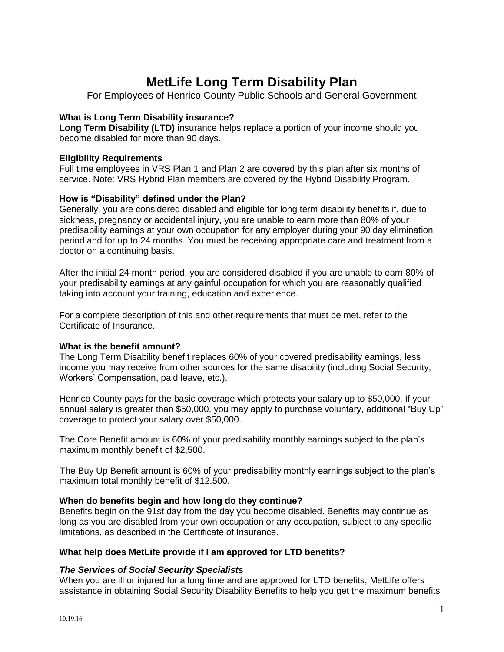# **MetLife Long Term Disability Plan**

For Employees of Henrico County Public Schools and General Government

# **What is Long Term Disability insurance?**

**Long Term Disability (LTD)** insurance helps replace a portion of your income should you become disabled for more than 90 days.

## **Eligibility Requirements**

Full time employees in VRS Plan 1 and Plan 2 are covered by this plan after six months of service. Note: VRS Hybrid Plan members are covered by the Hybrid Disability Program.

# **How is "Disability" defined under the Plan?**

Generally, you are considered disabled and eligible for long term disability benefits if, due to sickness, pregnancy or accidental injury, you are unable to earn more than 80% of your predisability earnings at your own occupation for any employer during your 90 day elimination period and for up to 24 months. You must be receiving appropriate care and treatment from a doctor on a continuing basis.

After the initial 24 month period, you are considered disabled if you are unable to earn 80% of your predisability earnings at any gainful occupation for which you are reasonably qualified taking into account your training, education and experience.

For a complete description of this and other requirements that must be met, refer to the Certificate of Insurance.

# **What is the benefit amount?**

The Long Term Disability benefit replaces 60% of your covered predisability earnings, less income you may receive from other sources for the same disability (including Social Security, Workers' Compensation, paid leave, etc.).

Henrico County pays for the basic coverage which protects your salary up to \$50,000. If your annual salary is greater than \$50,000, you may apply to purchase voluntary, additional "Buy Up" coverage to protect your salary over \$50,000.

The Core Benefit amount is 60% of your predisability monthly earnings subject to the plan's maximum monthly benefit of \$2,500.

The Buy Up Benefit amount is 60% of your predisability monthly earnings subject to the plan's maximum total monthly benefit of \$12,500.

# **When do benefits begin and how long do they continue?**

Benefits begin on the 91st day from the day you become disabled. Benefits may continue as long as you are disabled from your own occupation or any occupation, subject to any specific limitations, as described in the Certificate of Insurance.

# **What help does MetLife provide if I am approved for LTD benefits?**

# *The Services of Social Security Specialists*

When you are ill or injured for a long time and are approved for LTD benefits, MetLife offers assistance in obtaining Social Security Disability Benefits to help you get the maximum benefits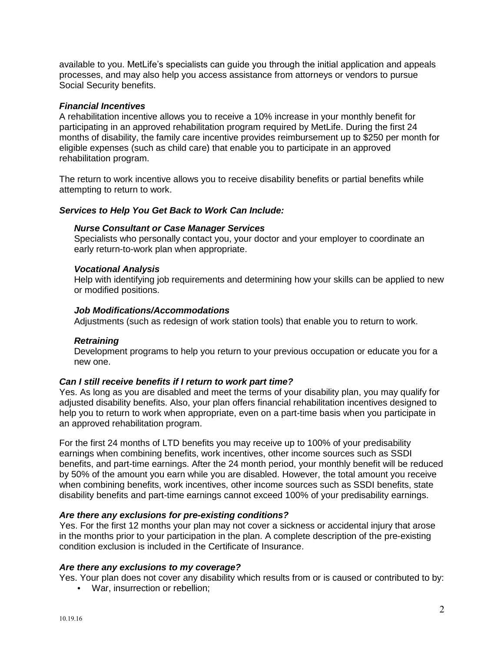available to you. MetLife's specialists can guide you through the initial application and appeals processes, and may also help you access assistance from attorneys or vendors to pursue Social Security benefits.

## *Financial Incentives*

A rehabilitation incentive allows you to receive a 10% increase in your monthly benefit for participating in an approved rehabilitation program required by MetLife. During the first 24 months of disability, the family care incentive provides reimbursement up to \$250 per month for eligible expenses (such as child care) that enable you to participate in an approved rehabilitation program.

The return to work incentive allows you to receive disability benefits or partial benefits while attempting to return to work.

## *Services to Help You Get Back to Work Can Include:*

## *Nurse Consultant or Case Manager Services*

Specialists who personally contact you, your doctor and your employer to coordinate an early return-to-work plan when appropriate.

## *Vocational Analysis*

Help with identifying job requirements and determining how your skills can be applied to new or modified positions.

## *Job Modifications/Accommodations*

Adjustments (such as redesign of work station tools) that enable you to return to work.

## *Retraining*

Development programs to help you return to your previous occupation or educate you for a new one.

## *Can I still receive benefits if I return to work part time?*

Yes. As long as you are disabled and meet the terms of your disability plan, you may qualify for adjusted disability benefits. Also, your plan offers financial rehabilitation incentives designed to help you to return to work when appropriate, even on a part-time basis when you participate in an approved rehabilitation program.

For the first 24 months of LTD benefits you may receive up to 100% of your predisability earnings when combining benefits, work incentives, other income sources such as SSDI benefits, and part-time earnings. After the 24 month period, your monthly benefit will be reduced by 50% of the amount you earn while you are disabled. However, the total amount you receive when combining benefits, work incentives, other income sources such as SSDI benefits, state disability benefits and part-time earnings cannot exceed 100% of your predisability earnings.

## *Are there any exclusions for pre-existing conditions?*

Yes. For the first 12 months your plan may not cover a sickness or accidental injury that arose in the months prior to your participation in the plan. A complete description of the pre-existing condition exclusion is included in the Certificate of Insurance.

## *Are there any exclusions to my coverage?*

Yes. Your plan does not cover any disability which results from or is caused or contributed to by:

War, insurrection or rebellion;